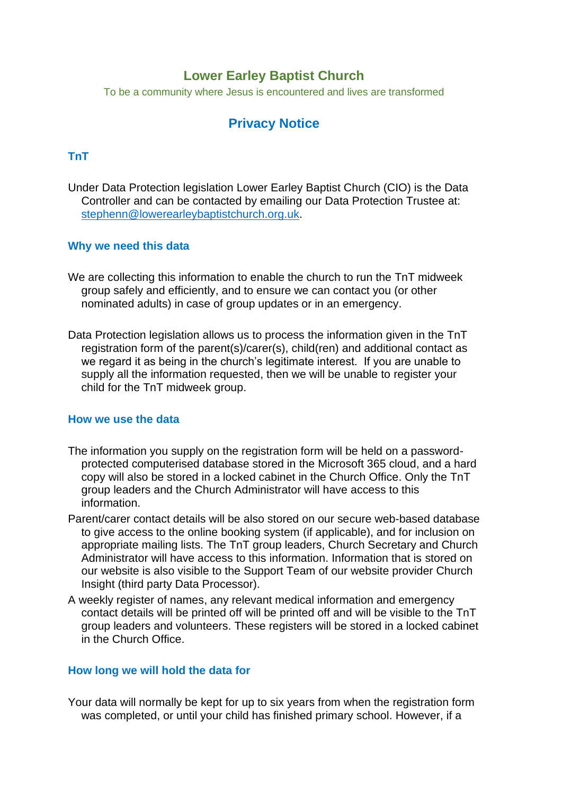## **Lower Earley Baptist Church**

To be a community where Jesus is encountered and lives are transformed

# **Privacy Notice**

## **TnT**

Under Data Protection legislation Lower Earley Baptist Church (CIO) is the Data Controller and can be contacted by emailing our Data Protection Trustee at: [stephenn@lowerearleybaptistchurch.org.uk.](mailto:stephenn@lowerearleybaptistchurch.org.uk)

#### **Why we need this data**

- We are collecting this information to enable the church to run the TnT midweek group safely and efficiently, and to ensure we can contact you (or other nominated adults) in case of group updates or in an emergency.
- Data Protection legislation allows us to process the information given in the TnT registration form of the parent(s)/carer(s), child(ren) and additional contact as we regard it as being in the church's legitimate interest. If you are unable to supply all the information requested, then we will be unable to register your child for the TnT midweek group.

#### **How we use the data**

- The information you supply on the registration form will be held on a passwordprotected computerised database stored in the Microsoft 365 cloud, and a hard copy will also be stored in a locked cabinet in the Church Office. Only the TnT group leaders and the Church Administrator will have access to this information.
- Parent/carer contact details will be also stored on our secure web-based database to give access to the online booking system (if applicable), and for inclusion on appropriate mailing lists. The TnT group leaders, Church Secretary and Church Administrator will have access to this information. Information that is stored on our website is also visible to the Support Team of our website provider Church Insight (third party Data Processor).
- A weekly register of names, any relevant medical information and emergency contact details will be printed off will be printed off and will be visible to the TnT group leaders and volunteers. These registers will be stored in a locked cabinet in the Church Office.

#### **How long we will hold the data for**

Your data will normally be kept for up to six years from when the registration form was completed, or until your child has finished primary school. However, if a